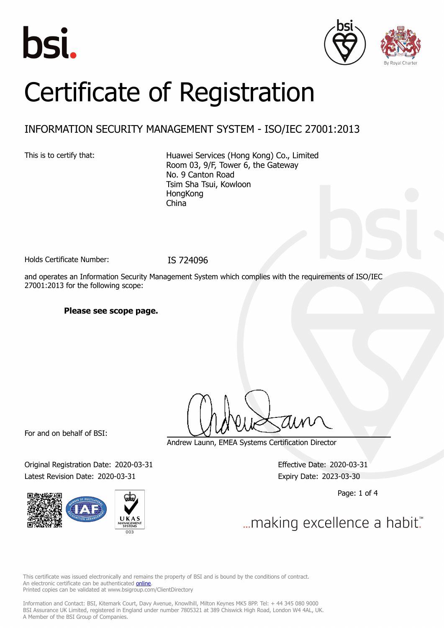





# Certificate of Registration

## INFORMATION SECURITY MANAGEMENT SYSTEM - ISO/IEC 27001:2013

This is to certify that: Huawei Services (Hong Kong) Co., Limited Room 03, 9/F, Tower 6, the Gateway No. 9 Canton Road Tsim Sha Tsui, Kowloon **HongKong** China

Holds Certificate Number: IS 724096

and operates an Information Security Management System which complies with the requirements of ISO/IEC 27001:2013 for the following scope:

**Please see scope page.**

For and on behalf of BSI:

Original Registration Date: 2020-03-31 Effective Date: 2020-03-31 Latest Revision Date: 2020-03-31 Expiry Date: 2023-03-30



Andrew Launn, EMEA Systems Certification Director

Page: 1 of 4

... making excellence a habit."

This certificate was issued electronically and remains the property of BSI and is bound by the conditions of contract. An electronic certificate can be authenticated **[online](https://pgplus.bsigroup.com/CertificateValidation/CertificateValidator.aspx?CertificateNumber=IS+724096&ReIssueDate=31%2f03%2f2020&Template=uk)**. Printed copies can be validated at www.bsigroup.com/ClientDirectory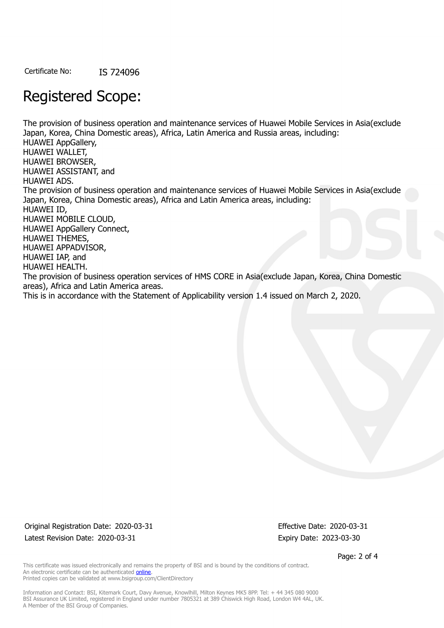Certificate No: IS 724096

## Registered Scope:

The provision of business operation and maintenance services of Huawei Mobile Services in Asia(exclude Japan, Korea, China Domestic areas), Africa, Latin America and Russia areas, including: HUAWEI AppGallery, HUAWEI WALLET, HUAWEI BROWSER, HUAWEI ASSISTANT, and HUAWEI ADS. The provision of business operation and maintenance services of Huawei Mobile Services in Asia(exclude Japan, Korea, China Domestic areas), Africa and Latin America areas, including: HUAWEI ID, HUAWEI MOBILE CLOUD, HUAWEI AppGallery Connect, HUAWEI THEMES, HUAWEI APPADVISOR, HUAWEI IAP, and HUAWEI HEALTH. The provision of business operation services of HMS CORE in Asia(exclude Japan, Korea, China Domestic areas), Africa and Latin America areas. This is in accordance with the Statement of Applicability version 1.4 issued on March 2, 2020.

Original Registration Date: 2020-03-31 Effective Date: 2020-03-31 Latest Revision Date: 2020-03-31 Expiry Date: 2023-03-30

Page: 2 of 4

This certificate was issued electronically and remains the property of BSI and is bound by the conditions of contract. An electronic certificate can be authenticated [online](https://pgplus.bsigroup.com/CertificateValidation/CertificateValidator.aspx?CertificateNumber=IS+724096&ReIssueDate=31%2f03%2f2020&Template=uk). Printed copies can be validated at www.bsigroup.com/ClientDirectory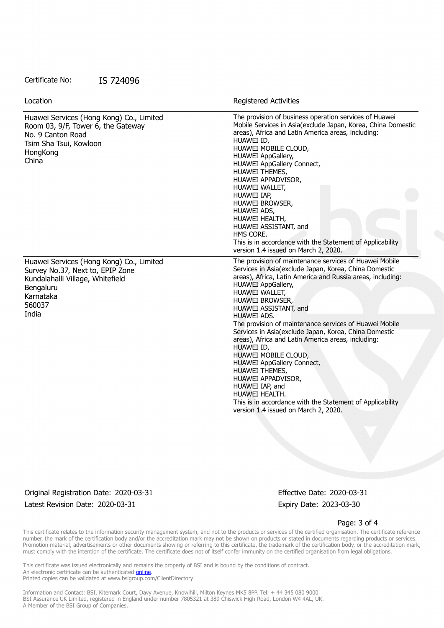#### Certificate No: IS 724096

| Location                                                                                                                                                      | Registered Activities                                                                                                                                                                                                                                                                                                                                                                                                                                                                                                                                                                                                                                                                                                                |
|---------------------------------------------------------------------------------------------------------------------------------------------------------------|--------------------------------------------------------------------------------------------------------------------------------------------------------------------------------------------------------------------------------------------------------------------------------------------------------------------------------------------------------------------------------------------------------------------------------------------------------------------------------------------------------------------------------------------------------------------------------------------------------------------------------------------------------------------------------------------------------------------------------------|
| Huawei Services (Hong Kong) Co., Limited<br>Room 03, 9/F, Tower 6, the Gateway<br>No. 9 Canton Road<br>Tsim Sha Tsui, Kowloon<br>HongKong<br>China            | The provision of business operation services of Huawei<br>Mobile Services in Asia(exclude Japan, Korea, China Domestic<br>areas), Africa and Latin America areas, including:<br>HUAWEI ID,<br>HUAWEI MOBILE CLOUD,<br>HUAWEI AppGallery,<br>HUAWEI AppGallery Connect,<br>HUAWEI THEMES,<br>HUAWEI APPADVISOR,<br>HUAWEI WALLET,<br>HUAWEI IAP,<br>HUAWEI BROWSER,<br>HUAWEI ADS,<br>HUAWEI HEALTH,<br>HUAWEI ASSISTANT, and<br>HMS CORE.<br>This is in accordance with the Statement of Applicability<br>version 1.4 issued on March 2, 2020.                                                                                                                                                                                       |
| Huawei Services (Hong Kong) Co., Limited<br>Survey No.37, Next to, EPIP Zone<br>Kundalahalli Village, Whitefield<br>Bengaluru<br>Karnataka<br>560037<br>India | The provision of maintenance services of Huawei Mobile<br>Services in Asia(exclude Japan, Korea, China Domestic<br>areas), Africa, Latin America and Russia areas, including:<br><b>HUAWEI AppGallery,</b><br>HUAWEI WALLET,<br>HUAWEI BROWSER,<br>HUAWEI ASSISTANT, and<br><b>HUAWEI ADS.</b><br>The provision of maintenance services of Huawei Mobile<br>Services in Asia(exclude Japan, Korea, China Domestic<br>areas), Africa and Latin America areas, including:<br>HUAWEI ID,<br>HUAWEI MOBILE CLOUD,<br><b>HUAWEI AppGallery Connect,</b><br>HUAWEI THEMES,<br>HUAWEI APPADVISOR,<br>HUAWEI IAP, and<br>HUAWEI HEALTH.<br>This is in accordance with the Statement of Applicability<br>version 1.4 issued on March 2, 2020. |

Original Registration Date: 2020-03-31 Effective Date: 2020-03-31 Latest Revision Date: 2020-03-31 Expiry Date: 2023-03-30

#### Page: 3 of 4

This certificate relates to the information security management system, and not to the products or services of the certified organisation. The certificate reference number, the mark of the certification body and/or the accreditation mark may not be shown on products or stated in documents regarding products or services. Promotion material, advertisements or other documents showing or referring to this certificate, the trademark of the certification body, or the accreditation mark, must comply with the intention of the certificate. The certificate does not of itself confer immunity on the certified organisation from legal obligations.

This certificate was issued electronically and remains the property of BSI and is bound by the conditions of contract. An electronic certificate can be authenticated **[online](https://pgplus.bsigroup.com/CertificateValidation/CertificateValidator.aspx?CertificateNumber=IS+724096&ReIssueDate=31%2f03%2f2020&Template=uk)**. Printed copies can be validated at www.bsigroup.com/ClientDirectory